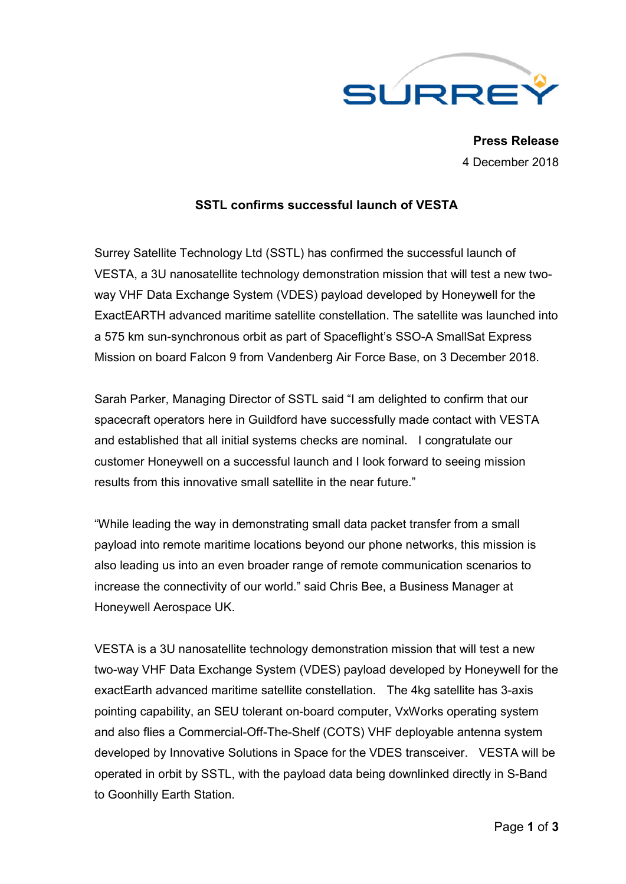

**Press Release** 4 December 2018

## **SSTL confirms successful launch of VESTA**

Surrey Satellite Technology Ltd (SSTL) has confirmed the successful launch of VESTA, a 3U nanosatellite technology demonstration mission that will test a new twoway VHF Data Exchange System (VDES) payload developed by Honeywell for the ExactEARTH advanced maritime satellite constellation. The satellite was launched into a 575 km sun-synchronous orbit as part of Spaceflight's SSO-A SmallSat Express Mission on board Falcon 9 from Vandenberg Air Force Base, on 3 December 2018.

Sarah Parker, Managing Director of SSTL said "I am delighted to confirm that our spacecraft operators here in Guildford have successfully made contact with VESTA and established that all initial systems checks are nominal. I congratulate our customer Honeywell on a successful launch and I look forward to seeing mission results from this innovative small satellite in the near future."

"While leading the way in demonstrating small data packet transfer from a small payload into remote maritime locations beyond our phone networks, this mission is also leading us into an even broader range of remote communication scenarios to increase the connectivity of our world." said Chris Bee, a Business Manager at Honeywell Aerospace UK.

VESTA is a 3U nanosatellite technology demonstration mission that will test a new two-way VHF Data Exchange System (VDES) payload developed by Honeywell for the exactEarth advanced maritime satellite constellation. The 4kg satellite has 3-axis pointing capability, an SEU tolerant on-board computer, VxWorks operating system and also flies a Commercial-Off-The-Shelf (COTS) VHF deployable antenna system developed by Innovative Solutions in Space for the VDES transceiver. VESTA will be operated in orbit by SSTL, with the payload data being downlinked directly in S-Band to Goonhilly Earth Station.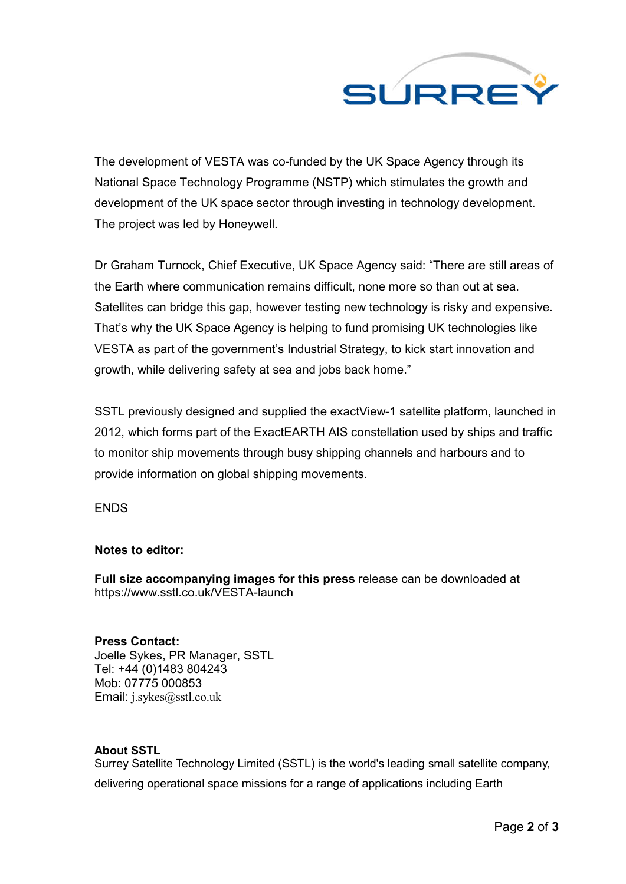

The development of VESTA was co-funded by the UK Space Agency through its National Space Technology Programme (NSTP) which stimulates the growth and development of the UK space sector through investing in technology development. The project was led by Honeywell.

Dr Graham Turnock, Chief Executive, UK Space Agency said: "There are still areas of the Earth where communication remains difficult, none more so than out at sea. Satellites can bridge this gap, however testing new technology is risky and expensive. That's why the UK Space Agency is helping to fund promising UK technologies like VESTA as part of the government's Industrial Strategy, to kick start innovation and growth, while delivering safety at sea and jobs back home."

SSTL previously designed and supplied the exactView-1 satellite platform, launched in 2012, which forms part of the ExactEARTH AIS constellation used by ships and traffic to monitor ship movements through busy shipping channels and harbours and to provide information on global shipping movements.

ENDS

## **Notes to editor:**

**Full size accompanying images for this press** release can be downloaded at https://www.sstl.co.uk/VESTA-launch

**Press Contact:** Joelle Sykes, PR Manager, SSTL Tel: +44 (0)1483 804243 Mob: 07775 000853 Email: j.sykes@sstl.co.uk

## **About SSTL**

Surrey Satellite Technology Limited (SSTL) is the world's leading small satellite company, delivering operational space missions for a range of applications including Earth